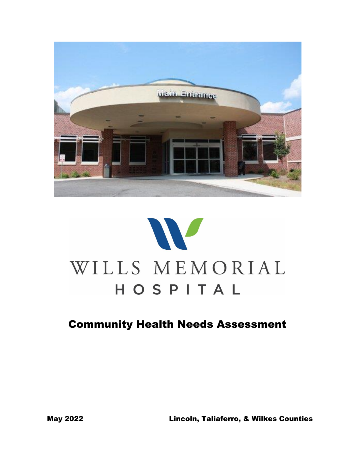



# Community Health Needs Assessment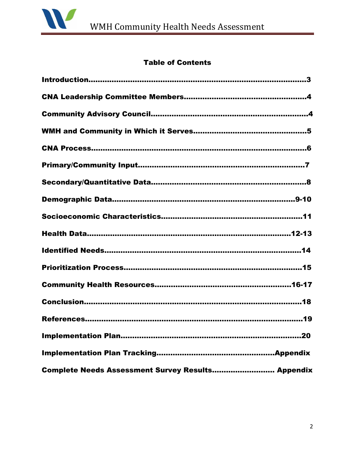

# Table of Contents

| Complete Needs Assessment Survey Results Appendix |
|---------------------------------------------------|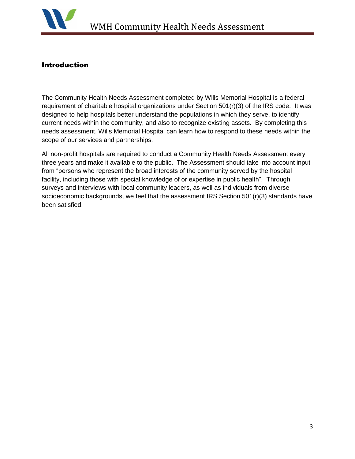

#### Introduction

The Community Health Needs Assessment completed by Wills Memorial Hospital is a federal requirement of charitable hospital organizations under Section 501(r)(3) of the IRS code. It was designed to help hospitals better understand the populations in which they serve, to identify current needs within the community, and also to recognize existing assets. By completing this needs assessment, Wills Memorial Hospital can learn how to respond to these needs within the scope of our services and partnerships.

All non-profit hospitals are required to conduct a Community Health Needs Assessment every three years and make it available to the public. The Assessment should take into account input from "persons who represent the broad interests of the community served by the hospital facility, including those with special knowledge of or expertise in public health". Through surveys and interviews with local community leaders, as well as individuals from diverse socioeconomic backgrounds, we feel that the assessment IRS Section 501(r)(3) standards have been satisfied.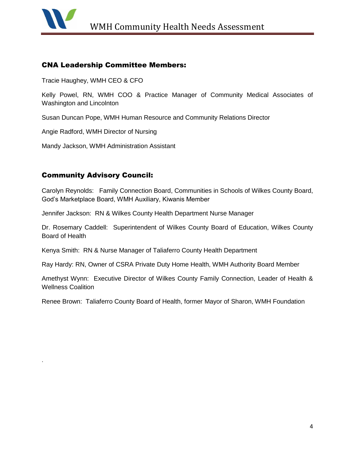

.

#### CNA Leadership Committee Members:

Tracie Haughey, WMH CEO & CFO

Kelly Powel, RN, WMH COO & Practice Manager of Community Medical Associates of Washington and Lincolnton

Susan Duncan Pope, WMH Human Resource and Community Relations Director

Angie Radford, WMH Director of Nursing

Mandy Jackson, WMH Administration Assistant

## Community Advisory Council:

Carolyn Reynolds: Family Connection Board, Communities in Schools of Wilkes County Board, God's Marketplace Board, WMH Auxiliary, Kiwanis Member

Jennifer Jackson: RN & Wilkes County Health Department Nurse Manager

Dr. Rosemary Caddell: Superintendent of Wilkes County Board of Education, Wilkes County Board of Health

Kenya Smith: RN & Nurse Manager of Taliaferro County Health Department

Ray Hardy: RN, Owner of CSRA Private Duty Home Health, WMH Authority Board Member

Amethyst Wynn: Executive Director of Wilkes County Family Connection, Leader of Health & Wellness Coalition

Renee Brown: Taliaferro County Board of Health, former Mayor of Sharon, WMH Foundation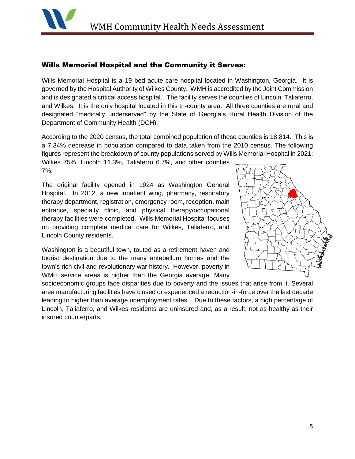

#### Wills Memorial Hospital and the Community it Serves:

Wills Memorial Hospital is a 19 bed acute care hospital located in Washington, Georgia. It is governed by the Hospital Authority of Wilkes County. WMH is accredited by the Joint Commission and is designated a critical access hospital. The facility serves the counties of Lincoln, Taliaferro, and Wilkes. It is the only hospital located in this tri-county area. All three counties are rural and designated "medically underserved" by the State of Georgia's Rural Health Division of the Department of Community Health (DCH).

According to the 2020 census, the total combined population of these counties is 18,814. This is a 7.34% decrease in population compared to data taken from the 2010 census. The following figures represent the breakdown of county populations served by Wills Memorial Hospital in 2021:

Wilkes 75%, Lincoln 11.3%, Taliaferro 6.7%, and other counties 7%.

The original facility opened in 1924 as Washington General Hospital. In 2012, a new inpatient wing, pharmacy, respiratory therapy department, registration, emergency room, reception, main entrance, specialty clinic, and physical therapy/occupational therapy facilities were completed. Wills Memorial Hospital focuses on providing complete medical care for Wilkes, Taliaferro, and Lincoln County residents.

Washington is a beautiful town, touted as a retirement haven and tourist destination due to the many antebellum homes and the town's rich civil and revolutionary war history. However, poverty in WMH service areas is higher than the Georgia average. Many



socioeconomic groups face disparities due to poverty and the issues that arise from it. Several area manufacturing facilities have closed or experienced a reduction-in-force over the last decade leading to higher than average unemployment rates. Due to these factors, a high percentage of Lincoln, Taliaferro, and Wilkes residents are uninsured and, as a result, not as healthy as their insured counterparts.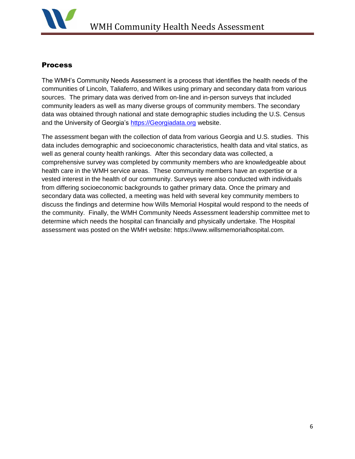

#### **Process**

The WMH's Community Needs Assessment is a process that identifies the health needs of the communities of Lincoln, Taliaferro, and Wilkes using primary and secondary data from various sources. The primary data was derived from on-line and in-person surveys that included community leaders as well as many diverse groups of community members. The secondary data was obtained through national and state demographic studies including the U.S. Census and the University of Georgia's [https://Georgiadata.org](https://georgiadata.org/) website.

The assessment began with the collection of data from various Georgia and U.S. studies. This data includes demographic and socioeconomic characteristics, health data and vital statics, as well as general county health rankings. After this secondary data was collected, a comprehensive survey was completed by community members who are knowledgeable about health care in the WMH service areas. These community members have an expertise or a vested interest in the health of our community. Surveys were also conducted with individuals from differing socioeconomic backgrounds to gather primary data. Once the primary and secondary data was collected, a meeting was held with several key community members to discuss the findings and determine how Wills Memorial Hospital would respond to the needs of the community. Finally, the WMH Community Needs Assessment leadership committee met to determine which needs the hospital can financially and physically undertake. The Hospital assessment was posted on the WMH website: https://www.willsmemorialhospital.com.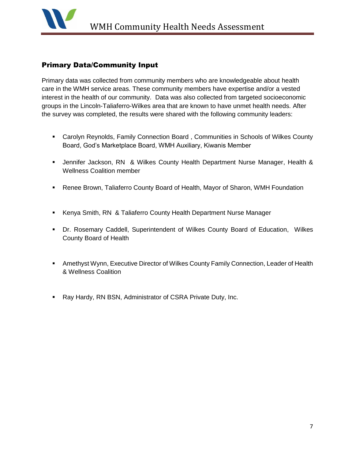

#### Primary Data/Community Input

Primary data was collected from community members who are knowledgeable about health care in the WMH service areas. These community members have expertise and/or a vested interest in the health of our community. Data was also collected from targeted socioeconomic groups in the Lincoln-Taliaferro-Wilkes area that are known to have unmet health needs. After the survey was completed, the results were shared with the following community leaders:

- Carolyn Reynolds, Family Connection Board , Communities in Schools of Wilkes County Board, God's Marketplace Board, WMH Auxiliary, Kiwanis Member
- Jennifer Jackson, RN & Wilkes County Health Department Nurse Manager, Health & Wellness Coalition member
- Renee Brown, Taliaferro County Board of Health, Mayor of Sharon, WMH Foundation
- Kenya Smith, RN & Taliaferro County Health Department Nurse Manager
- Dr. Rosemary Caddell, Superintendent of Wilkes County Board of Education, Wilkes County Board of Health
- Amethyst Wynn, Executive Director of Wilkes County Family Connection, Leader of Health & Wellness Coalition
- **Ray Hardy, RN BSN, Administrator of CSRA Private Duty, Inc.**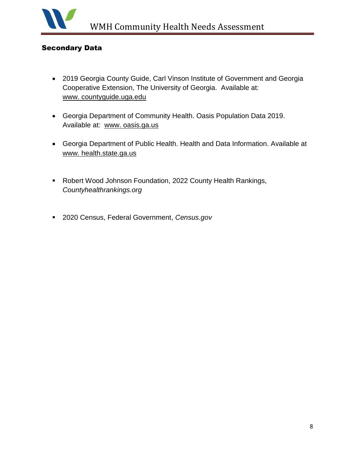

## Secondary Data

- 2019 Georgia County Guide, Carl Vinson Institute of Government and Georgia Cooperative Extension, The University of Georgia. Available at: www. countyguide.uga.edu
- Georgia Department of Community Health. Oasis Population Data 2019. Available at: www. oasis.ga.us
- Georgia Department of Public Health. Health and Data Information. Available at www. health.state.ga.us
- Robert Wood Johnson Foundation, 2022 County Health Rankings, *Countyhealthrankings.org*
- 2020 Census, Federal Government, *Census.gov*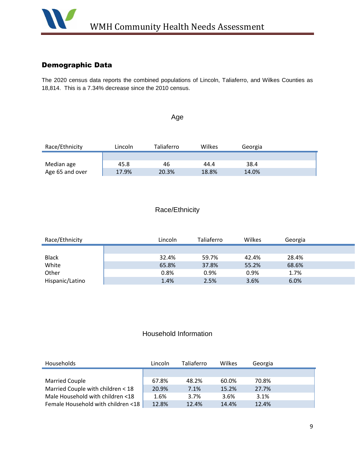

## Demographic Data

The 2020 census data reports the combined populations of Lincoln, Taliaferro, and Wilkes Counties as 18,814. This is a 7.34% decrease since the 2010 census.

# Age

| Race/Ethnicity  | Lincoln | Taliaferro | Wilkes | Georgia |  |
|-----------------|---------|------------|--------|---------|--|
|                 |         |            |        |         |  |
| Median age      | 45.8    | 46         | 44.4   | 38.4    |  |
| Age 65 and over | 17.9%   | 20.3%      | 18.8%  | 14.0%   |  |

#### Race/Ethnicity

| Race/Ethnicity  | Lincoln | Taliaferro | Wilkes | Georgia |  |
|-----------------|---------|------------|--------|---------|--|
|                 |         |            |        |         |  |
| <b>Black</b>    | 32.4%   | 59.7%      | 42.4%  | 28.4%   |  |
| White           | 65.8%   | 37.8%      | 55.2%  | 68.6%   |  |
| Other           | 0.8%    | 0.9%       | 0.9%   | 1.7%    |  |
| Hispanic/Latino | 1.4%    | 2.5%       | 3.6%   | 6.0%    |  |

# Household Information

| Households                         | Lincoln | Taliaferro | Wilkes | Georgia |  |
|------------------------------------|---------|------------|--------|---------|--|
|                                    |         |            |        |         |  |
| <b>Married Couple</b>              | 67.8%   | 48.2%      | 60.0%  | 70.8%   |  |
| Married Couple with children < 18  | 20.9%   | 7.1%       | 15.2%  | 27.7%   |  |
| Male Household with children <18   | 1.6%    | 3.7%       | 3.6%   | 3.1%    |  |
| Female Household with children <18 | 12.8%   | 12.4%      | 14.4%  | 12.4%   |  |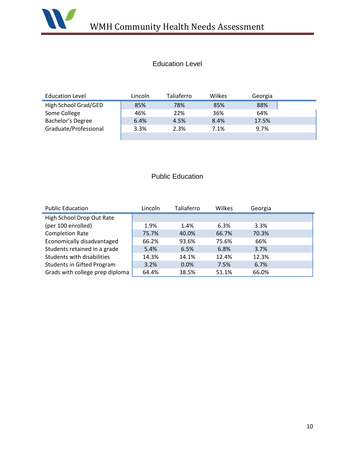

# Education Level

| <b>Education Level</b> | Lincoln | Taliaferro | Wilkes | Georgia |  |
|------------------------|---------|------------|--------|---------|--|
| High School Grad/GED   | 85%     | 78%        | 85%    | 88%     |  |
| Some College           | 46%     | 22%        | 36%    | 64%     |  |
| Bachelor's Degree      | 6.4%    | 4.5%       | 8.4%   | 17.5%   |  |
| Graduate/Professional  | 3.3%    | 2.3%       | 7.1%   | 9.7%    |  |
|                        |         |            |        |         |  |

# Public Education

| <b>Public Education</b>           | Lincoln | Taliaferro | Wilkes | Georgia |  |
|-----------------------------------|---------|------------|--------|---------|--|
| High School Drop Out Rate         |         |            |        |         |  |
| (per 100 enrolled)                | 1.9%    | 1.4%       | 6.3%   | 3.3%    |  |
| <b>Completion Rate</b>            | 75.7%   | 40.0%      | 66.7%  | 70.3%   |  |
| Economically disadvantaged        | 66.2%   | 93.6%      | 75.6%  | 66%     |  |
| Students retained in a grade      | 5.4%    | 6.5%       | 6.8%   | 3.7%    |  |
| Students with disabilities        | 14.3%   | 14.1%      | 12.4%  | 12.3%   |  |
| <b>Students in Gifted Program</b> | 3.2%    | 0.0%       | 7.5%   | 6.7%    |  |
| Grads with college prep diploma   | 64.4%   | 38.5%      | 51.1%  | 66.0%   |  |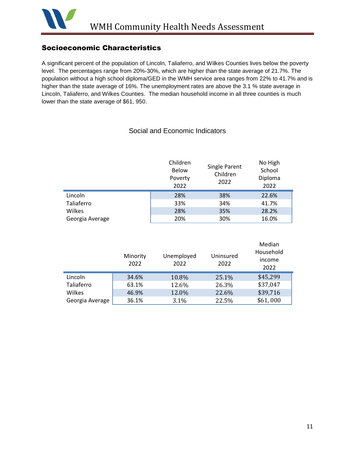

## Socioeconomic Characteristics

A significant percent of the population of Lincoln, Taliaferro, and Wilkes Counties lives below the poverty level. The percentages range from 20%-30%, which are higher than the state average of 21.7%. The population without a high school diploma/GED in the WMH service area ranges from 22% to 41.7% and is higher than the state average of 16%. The unemployment rates are above the 3.1 % state average in Lincoln, Taliaferro, and Wilkes Counties. The median household income in all three counties is much lower than the state average of \$61, 950.

#### Social and Economic Indicators

|                 | Children<br><b>Below</b><br>Poverty<br>2022 | Single Parent<br>Children<br>2022 | No High<br>School<br>Diploma<br>2022 |
|-----------------|---------------------------------------------|-----------------------------------|--------------------------------------|
| Lincoln         | 28%                                         | 38%                               | 22.6%                                |
| Taliaferro      | 33%                                         | 34%                               | 41.7%                                |
| Wilkes          | 28%                                         | 35%                               | 28.2%                                |
| Georgia Average | 20%                                         | 30%                               | 16.0%                                |

|                 | Minority<br>2022 | Unemployed<br>2022 | Uninsured<br>2022 | Median<br>Household<br>income<br>2022 |
|-----------------|------------------|--------------------|-------------------|---------------------------------------|
| Lincoln         | 34.6%            | 10.8%              | 25.1%             | \$45,299                              |
| Taliaferro      | 63.1%            | 12.6%              | 26.3%             | \$37,047                              |
| Wilkes          | 46.9%            | 12.0%              | 22.6%             | \$39,716                              |
| Georgia Average | 36.1%            | 3.1%               | 22.5%             | \$61,000                              |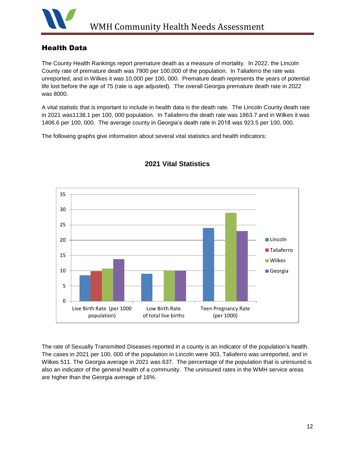

### Health Data

The County Health Rankings report premature death as a measure of mortality. In 2022, the Lincoln County rate of premature death was 7900 per 100,000 of the population. In Taliaferro the rate was unreported, and in Wilkes it was 10,000 per 100, 000. Premature death represents the years of potential life lost before the age of 75 (rate is age adjusted). The overall Georgia premature death rate in 2022 was 8000.

A vital statistic that is important to include in health data is the death rate. The Lincoln County death rate in 2021 was1138.1 per 100, 000 population. In Taliaferro the death rate was 1863.7 and in Wilkes it was 1406.6 per 100, 000. The average county in Georgia's death rate in 2018 was 923.5 per 100, 000.

The following graphs give information about several vital statistics and health indicators:



## **2021 Vital Statistics**

The rate of Sexually Transmitted Diseases reported in a county is an indicator of the population's health. The cases in 2021 per 100, 000 of the population in Lincoln were 303, Taliaferro was unreported, and in Wilkes 511. The Georgia average in 2021 was 637. The percentage of the population that is uninsured is also an indicator of the general health of a community. The uninsured rates in the WMH service areas are higher than the Georgia average of 16%.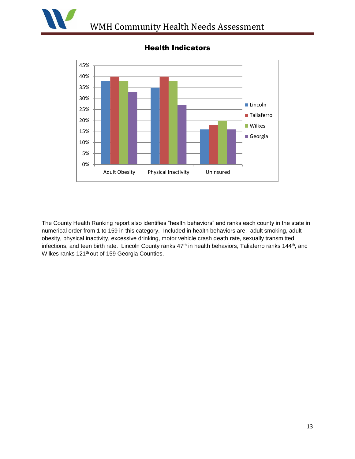



# Health Indicators

The County Health Ranking report also identifies "health behaviors" and ranks each county in the state in numerical order from 1 to 159 in this category. Included in health behaviors are: adult smoking, adult obesity, physical inactivity, excessive drinking, motor vehicle crash death rate, sexually transmitted infections, and teen birth rate. Lincoln County ranks 47<sup>th</sup> in health behaviors, Taliaferro ranks 144<sup>th</sup>, and Wilkes ranks 121<sup>th</sup> out of 159 Georgia Counties.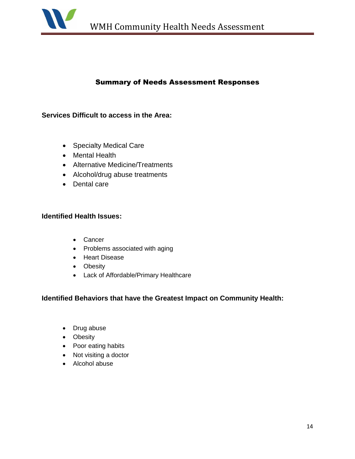

### Summary of Needs Assessment Responses

#### **Services Difficult to access in the Area:**

- Specialty Medical Care
- Mental Health
- Alternative Medicine/Treatments
- Alcohol/drug abuse treatments
- Dental care

#### **Identified Health Issues:**

- Cancer
- Problems associated with aging
- Heart Disease
- Obesity
- Lack of Affordable/Primary Healthcare

#### **Identified Behaviors that have the Greatest Impact on Community Health:**

- Drug abuse
- Obesity
- Poor eating habits
- Not visiting a doctor
- Alcohol abuse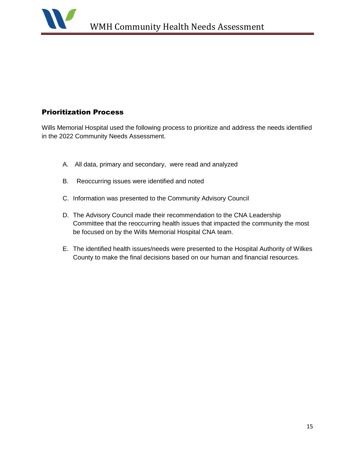# Prioritization Process

Wills Memorial Hospital used the following process to prioritize and address the needs identified in the 2022 Community Needs Assessment.

- A. All data, primary and secondary, were read and analyzed
- B. Reoccurring issues were identified and noted
- C. Information was presented to the Community Advisory Council
- D. The Advisory Council made their recommendation to the CNA Leadership Committee that the reoccurring health issues that impacted the community the most be focused on by the Wills Memorial Hospital CNA team.
- E. The identified health issues/needs were presented to the Hospital Authority of Wilkes County to make the final decisions based on our human and financial resources.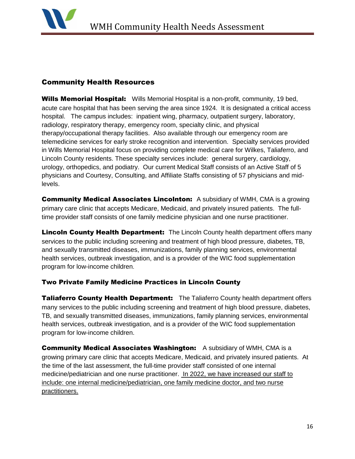

# Community Health Resources

Wills Memorial Hospital: Wills Memorial Hospital is a non-profit, community, 19 bed, acute care hospital that has been serving the area since 1924. It is designated a critical access hospital. The campus includes: inpatient wing, pharmacy, outpatient surgery, laboratory, radiology, respiratory therapy, emergency room, specialty clinic, and physical therapy/occupational therapy facilities. Also available through our emergency room are telemedicine services for early stroke recognition and intervention. Specialty services provided in Wills Memorial Hospital focus on providing complete medical care for Wilkes, Taliaferro, and Lincoln County residents. These specialty services include: general surgery, cardiology, urology, orthopedics, and podiatry. Our current Medical Staff consists of an Active Staff of 5 physicians and Courtesy, Consulting, and Affiliate Staffs consisting of 57 physicians and midlevels.

**Community Medical Associates Lincolnton:** A subsidiary of WMH, CMA is a growing primary care clinic that accepts Medicare, Medicaid, and privately insured patients. The fulltime provider staff consists of one family medicine physician and one nurse practitioner.

**Lincoln County Health Department:** The Lincoln County health department offers many services to the public including screening and treatment of high blood pressure, diabetes, TB, and sexually transmitted diseases, immunizations, family planning services, environmental health services, outbreak investigation, and is a provider of the WIC food supplementation program for low-income children.

#### Two Private Family Medicine Practices in Lincoln County

**Taliaferro County Health Department:** The Taliaferro County health department offers many services to the public including screening and treatment of high blood pressure, diabetes, TB, and sexually transmitted diseases, immunizations, family planning services, environmental health services, outbreak investigation, and is a provider of the WIC food supplementation program for low-income children.

Community Medical Associates Washington: A subsidiary of WMH, CMA is a growing primary care clinic that accepts Medicare, Medicaid, and privately insured patients. At the time of the last assessment, the full-time provider staff consisted of one internal medicine/pediatrician and one nurse practitioner. In 2022, we have increased our staff to include: one internal medicine/pediatrician, one family medicine doctor, and two nurse practitioners.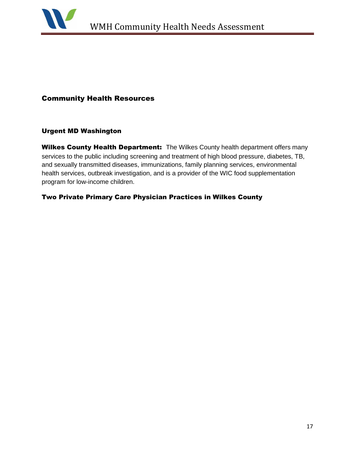

#### Community Health Resources

#### Urgent MD Washington

Wilkes County Health Department: The Wilkes County health department offers many services to the public including screening and treatment of high blood pressure, diabetes, TB, and sexually transmitted diseases, immunizations, family planning services, environmental health services, outbreak investigation, and is a provider of the WIC food supplementation program for low-income children.

#### Two Private Primary Care Physician Practices in Wilkes County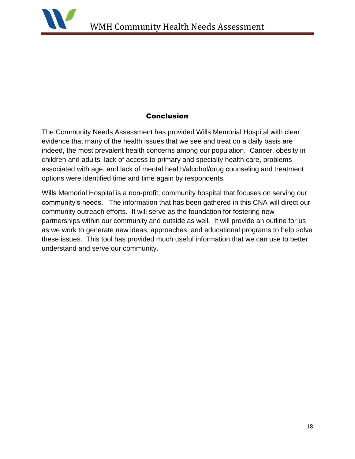

### **Conclusion**

The Community Needs Assessment has provided Wills Memorial Hospital with clear evidence that many of the health issues that we see and treat on a daily basis are indeed, the most prevalent health concerns among our population. Cancer, obesity in children and adults, lack of access to primary and specialty health care, problems associated with age, and lack of mental health/alcohol/drug counseling and treatment options were identified time and time again by respondents.

Wills Memorial Hospital is a non-profit, community hospital that focuses on serving our community's needs. The information that has been gathered in this CNA will direct our community outreach efforts. It will serve as the foundation for fostering new partnerships within our community and outside as well. It will provide an outline for us as we work to generate new ideas, approaches, and educational programs to help solve these issues. This tool has provided much useful information that we can use to better understand and serve our community.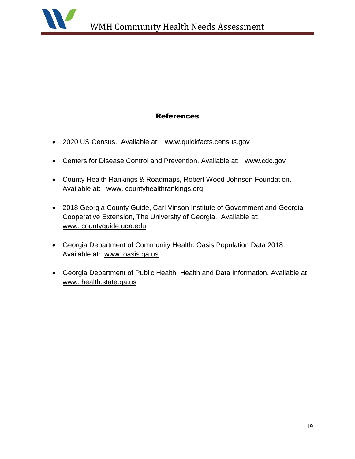

## References

- 2020 US Census. Available at: [www.quickfacts.census.gov](http://www.quickfacts.census.gov/)
- Centers for Disease Control and Prevention. Available at: [www.cdc.gov](http://www.cdc.gov/)
- County Health Rankings & Roadmaps, Robert Wood Johnson Foundation. Available at: www. countyhealthrankings.org
- 2018 Georgia County Guide, Carl Vinson Institute of Government and Georgia Cooperative Extension, The University of Georgia. Available at: www. countyguide.uga.edu
- Georgia Department of Community Health. Oasis Population Data 2018. Available at: www. oasis.ga.us
- Georgia Department of Public Health. Health and Data Information. Available at www. health.state.ga.us